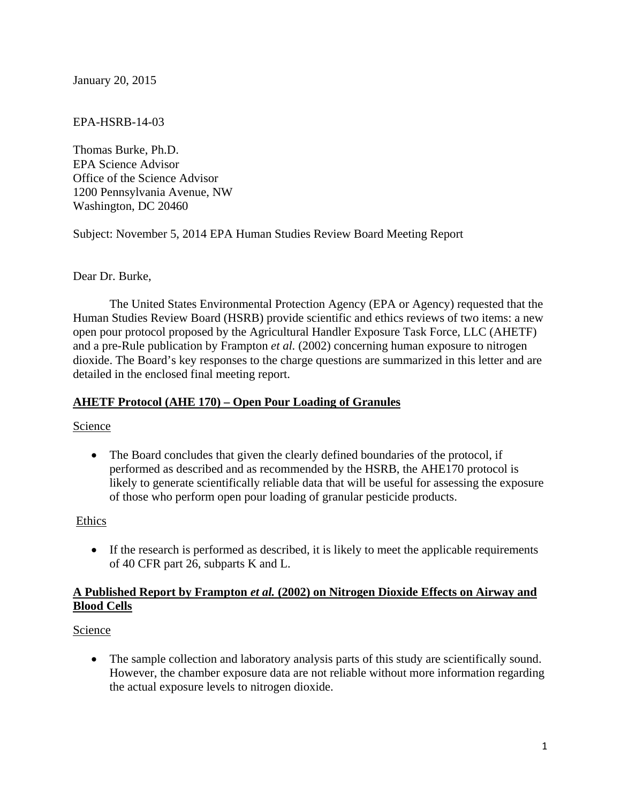January 20, 2015

### EPA-HSRB-14-03

 1200 Pennsylvania Avenue, NW Washington, DC 20460 Thomas Burke, Ph.D. EPA Science Advisor Office of the Science Advisor

Subject: November 5, 2014 EPA Human Studies Review Board Meeting Report

### Dear Dr. Burke,

The United States Environmental Protection Agency (EPA or Agency) requested that the Human Studies Review Board (HSRB) provide scientific and ethics reviews of two items: a new open pour protocol proposed by the Agricultural Handler Exposure Task Force, LLC (AHETF) and a pre-Rule publication by Frampton *et al.* (2002) concerning human exposure to nitrogen dioxide. The Board's key responses to the charge questions are summarized in this letter and are detailed in the enclosed final meeting report.

#### **AHETF Protocol (AHE 170) – Open Pour Loading of Granules**

Science

• The Board concludes that given the clearly defined boundaries of the protocol, if performed as described and as recommended by the HSRB, the AHE170 protocol is likely to generate scientifically reliable data that will be useful for assessing the exposure of those who perform open pour loading of granular pesticide products.

#### Ethics

 If the research is performed as described, it is likely to meet the applicable requirements of 40 CFR part 26, subparts K and L.

### **A Published Report by Frampton** *et al.* **(2002) on Nitrogen Dioxide Effects on Airway and Blood Cells**

Science

• The sample collection and laboratory analysis parts of this study are scientifically sound. However, the chamber exposure data are not reliable without more information regarding the actual exposure levels to nitrogen dioxide.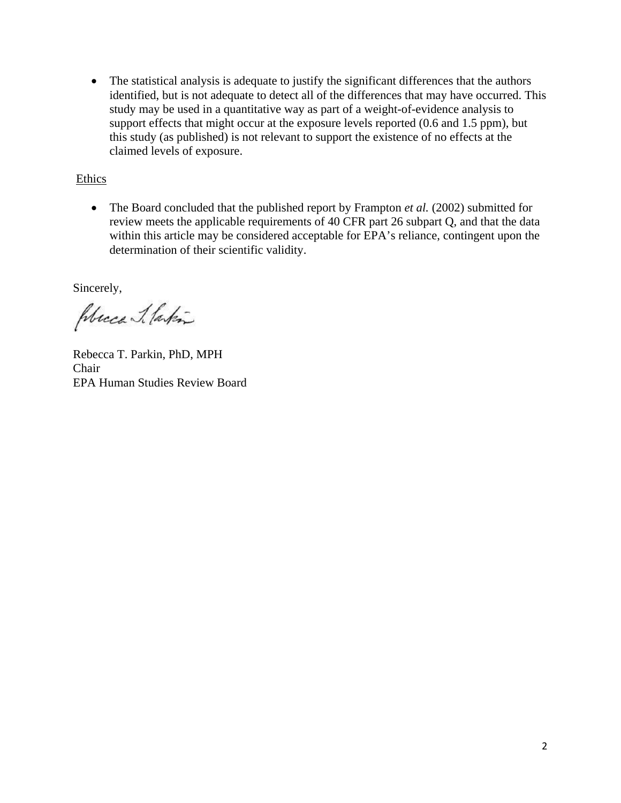The statistical analysis is adequate to justify the significant differences that the authors identified, but is not adequate to detect all of the differences that may have occurred. This study may be used in a quantitative way as part of a weight-of-evidence analysis to support effects that might occur at the exposure levels reported (0.6 and 1.5 ppm), but this study (as published) is not relevant to support the existence of no effects at the claimed levels of exposure.

### Ethics

• The Board concluded that the published report by Frampton *et al.* (2002) submitted for review meets the applicable requirements of 40 CFR part 26 subpart Q, and that the data within this article may be considered acceptable for EPA's reliance, contingent upon the determination of their scientific validity.

Sincerely,

Place Ilakin

Rebecca T. Parkin, PhD, MPH Chair EPA Human Studies Review Board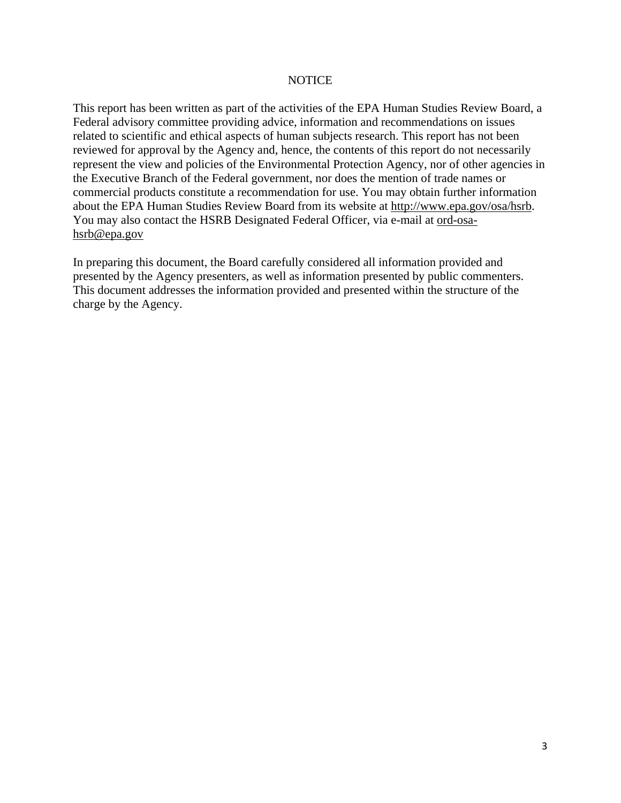#### **NOTICE**

This report has been written as part of the activities of the EPA Human Studies Review Board, a Federal advisory committee providing advice, information and recommendations on issues related to scientific and ethical aspects of human subjects research. This report has not been reviewed for approval by the Agency and, hence, the contents of this report do not necessarily represent the view and policies of the Environmental Protection Agency, nor of other agencies in the Executive Branch of the Federal government, nor does the mention of trade names or commercial products constitute a recommendation for use. You may obtain further information about the EPA Human Studies Review Board from its website at http://www.epa.gov/osa/hsrb. You may also contact the HSRB Designated Federal Officer, via e-mail at ord-osahsrb@epa.gov

In preparing this document, the Board carefully considered all information provided and presented by the Agency presenters, as well as information presented by public commenters. This document addresses the information provided and presented within the structure of the charge by the Agency.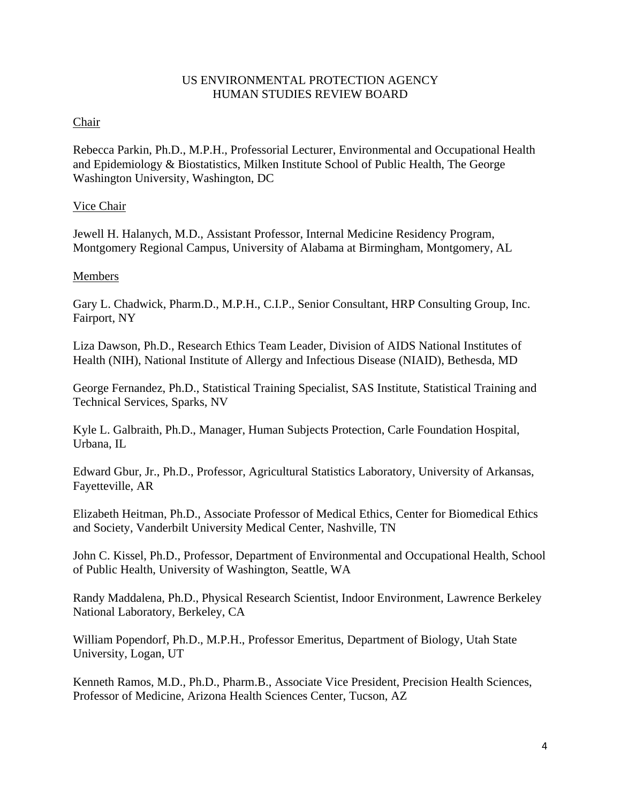#### US ENVIRONMENTAL PROTECTION AGENCY HUMAN STUDIES REVIEW BOARD

## Chair

Rebecca Parkin, Ph.D., M.P.H., Professorial Lecturer, Environmental and Occupational Health and Epidemiology & Biostatistics, Milken Institute School of Public Health, The George Washington University, Washington, DC

# Vice Chair

Jewell H. Halanych, M.D., Assistant Professor, Internal Medicine Residency Program, Montgomery Regional Campus, University of Alabama at Birmingham, Montgomery, AL

## Members

Gary L. Chadwick, Pharm.D., M.P.H., C.I.P., Senior Consultant, HRP Consulting Group, Inc. Fairport, NY

Liza Dawson, Ph.D., Research Ethics Team Leader, Division of AIDS National Institutes of Health (NIH), National Institute of Allergy and Infectious Disease (NIAID), Bethesda, MD

George Fernandez, Ph.D., Statistical Training Specialist, SAS Institute, Statistical Training and Technical Services, Sparks, NV

Kyle L. Galbraith, Ph.D., Manager, Human Subjects Protection, Carle Foundation Hospital, Urbana, IL

Edward Gbur, Jr., Ph.D., Professor, Agricultural Statistics Laboratory, University of Arkansas, Fayetteville, AR

Elizabeth Heitman, Ph.D., Associate Professor of Medical Ethics, Center for Biomedical Ethics and Society, Vanderbilt University Medical Center, Nashville, TN

John C. Kissel, Ph.D., Professor, Department of Environmental and Occupational Health, School of Public Health, University of Washington, Seattle, WA

Randy Maddalena, Ph.D., Physical Research Scientist, Indoor Environment, Lawrence Berkeley National Laboratory, Berkeley, CA

William Popendorf, Ph.D., M.P.H., Professor Emeritus, Department of Biology, Utah State University, Logan, UT

Kenneth Ramos, M.D., Ph.D., Pharm.B., Associate Vice President, Precision Health Sciences, Professor of Medicine, Arizona Health Sciences Center, Tucson, AZ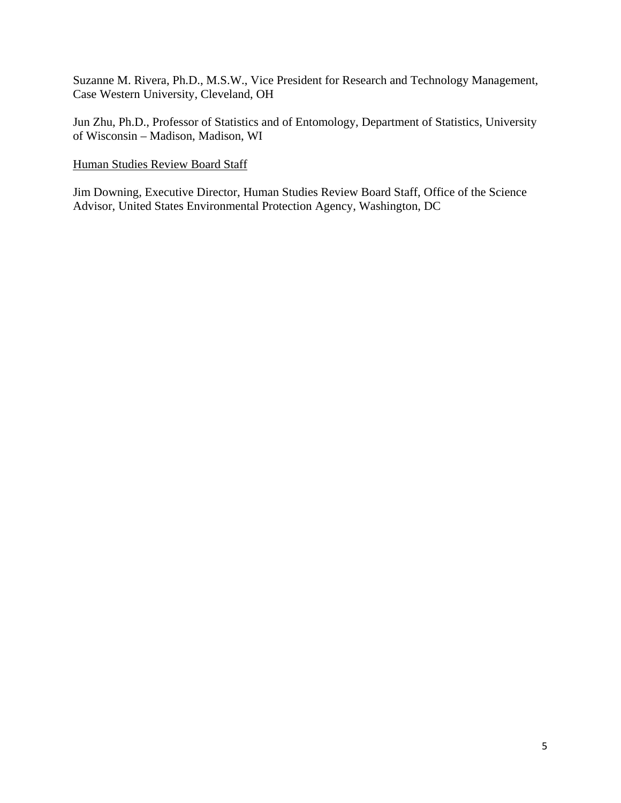Suzanne M. Rivera, Ph.D., M.S.W., Vice President for Research and Technology Management, Case Western University, Cleveland, OH

Jun Zhu, Ph.D., Professor of Statistics and of Entomology, Department of Statistics, University of Wisconsin – Madison, Madison, WI

Human Studies Review Board Staff

 Advisor, United States Environmental Protection Agency, Washington, DC Jim Downing, Executive Director, Human Studies Review Board Staff, Office of the Science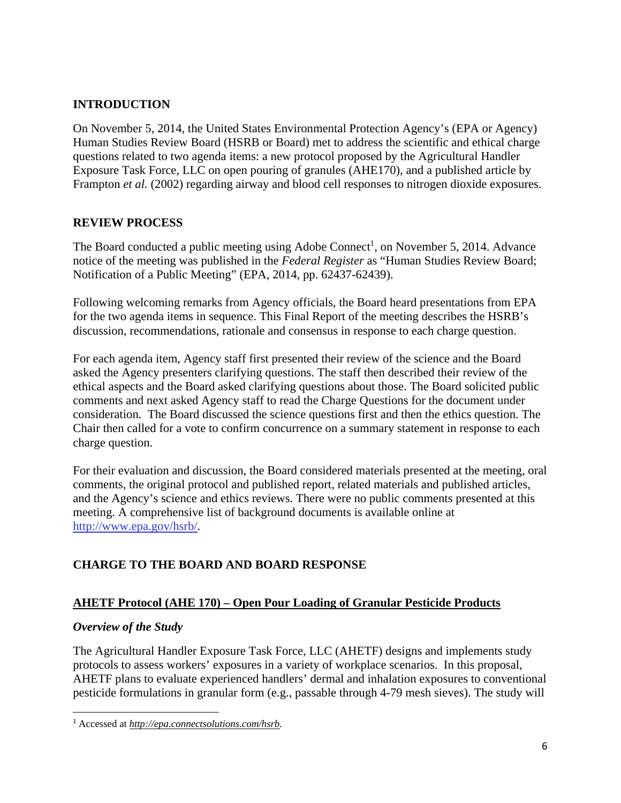# **INTRODUCTION**

On November 5, 2014, the United States Environmental Protection Agency's (EPA or Agency) Human Studies Review Board (HSRB or Board) met to address the scientific and ethical charge questions related to two agenda items: a new protocol proposed by the Agricultural Handler Exposure Task Force, LLC on open pouring of granules (AHE170), and a published article by Frampton *et al.* (2002) regarding airway and blood cell responses to nitrogen dioxide exposures.

## **REVIEW PROCESS**

The Board conducted a public meeting using Adobe Connect<sup>1</sup>, on November 5, 2014. Advance notice of the meeting was published in the *Federal Register* as "Human Studies Review Board; Notification of a Public Meeting" (EPA, 2014, pp. 62437-62439).

Following welcoming remarks from Agency officials, the Board heard presentations from EPA for the two agenda items in sequence. This Final Report of the meeting describes the HSRB's discussion, recommendations, rationale and consensus in response to each charge question.

For each agenda item, Agency staff first presented their review of the science and the Board asked the Agency presenters clarifying questions. The staff then described their review of the ethical aspects and the Board asked clarifying questions about those. The Board solicited public comments and next asked Agency staff to read the Charge Questions for the document under consideration. The Board discussed the science questions first and then the ethics question. The Chair then called for a vote to confirm concurrence on a summary statement in response to each charge question.

For their evaluation and discussion, the Board considered materials presented at the meeting, oral comments, the original protocol and published report, related materials and published articles, and the Agency's science and ethics reviews. There were no public comments presented at this meeting. A comprehensive list of background documents is available online at http://www.epa.gov/hsrb/.

## **CHARGE TO THE BOARD AND BOARD RESPONSE**

## **AHETF Protocol (AHE 170) – Open Pour Loading of Granular Pesticide Products**

## *Overview of the Study*

The Agricultural Handler Exposure Task Force, LLC (AHETF) designs and implements study protocols to assess workers' exposures in a variety of workplace scenarios. In this proposal, AHETF plans to evaluate experienced handlers' dermal and inhalation exposures to conventional pesticide formulations in granular form (e.g., passable through 4-79 mesh sieves). The study will

<sup>1</sup> Accessed at *http://epa.connectsolutions.com/hsrb.*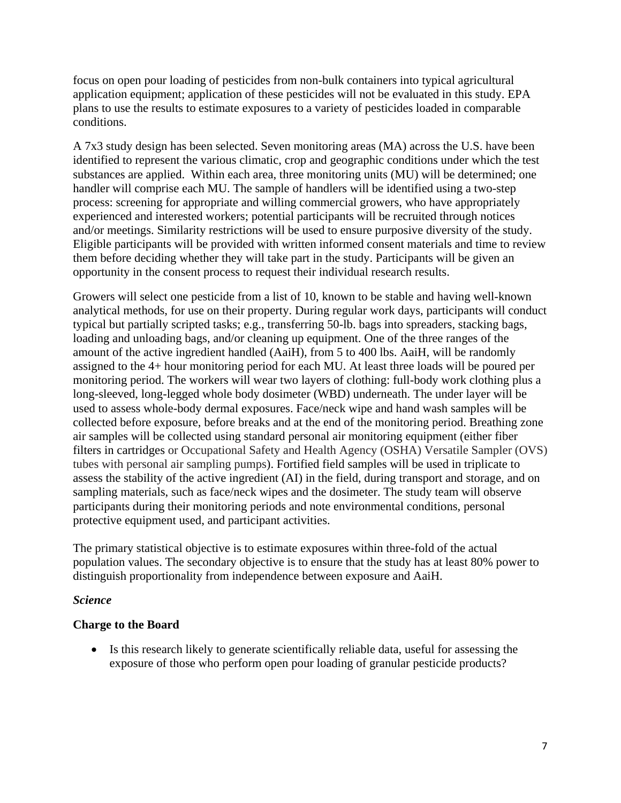focus on open pour loading of pesticides from non-bulk containers into typical agricultural application equipment; application of these pesticides will not be evaluated in this study. EPA plans to use the results to estimate exposures to a variety of pesticides loaded in comparable conditions.

A 7x3 study design has been selected. Seven monitoring areas (MA) across the U.S. have been identified to represent the various climatic, crop and geographic conditions under which the test substances are applied. Within each area, three monitoring units (MU) will be determined; one handler will comprise each MU. The sample of handlers will be identified using a two-step process: screening for appropriate and willing commercial growers, who have appropriately experienced and interested workers; potential participants will be recruited through notices and/or meetings. Similarity restrictions will be used to ensure purposive diversity of the study. Eligible participants will be provided with written informed consent materials and time to review them before deciding whether they will take part in the study. Participants will be given an opportunity in the consent process to request their individual research results.

Growers will select one pesticide from a list of 10, known to be stable and having well-known analytical methods, for use on their property. During regular work days, participants will conduct typical but partially scripted tasks; e.g., transferring 50-lb. bags into spreaders, stacking bags, loading and unloading bags, and/or cleaning up equipment. One of the three ranges of the amount of the active ingredient handled (AaiH), from 5 to 400 lbs. AaiH, will be randomly assigned to the 4+ hour monitoring period for each MU. At least three loads will be poured per monitoring period. The workers will wear two layers of clothing: full-body work clothing plus a long-sleeved, long-legged whole body dosimeter (WBD) underneath. The under layer will be used to assess whole-body dermal exposures. Face/neck wipe and hand wash samples will be collected before exposure, before breaks and at the end of the monitoring period. Breathing zone air samples will be collected using standard personal air monitoring equipment (either fiber filters in cartridges or Occupational Safety and Health Agency (OSHA) Versatile Sampler (OVS) tubes with personal air sampling pumps). Fortified field samples will be used in triplicate to assess the stability of the active ingredient (AI) in the field, during transport and storage, and on sampling materials, such as face/neck wipes and the dosimeter. The study team will observe participants during their monitoring periods and note environmental conditions, personal protective equipment used, and participant activities.

The primary statistical objective is to estimate exposures within three-fold of the actual population values. The secondary objective is to ensure that the study has at least 80% power to distinguish proportionality from independence between exposure and AaiH.

## *Science*

## **Charge to the Board**

 Is this research likely to generate scientifically reliable data, useful for assessing the exposure of those who perform open pour loading of granular pesticide products?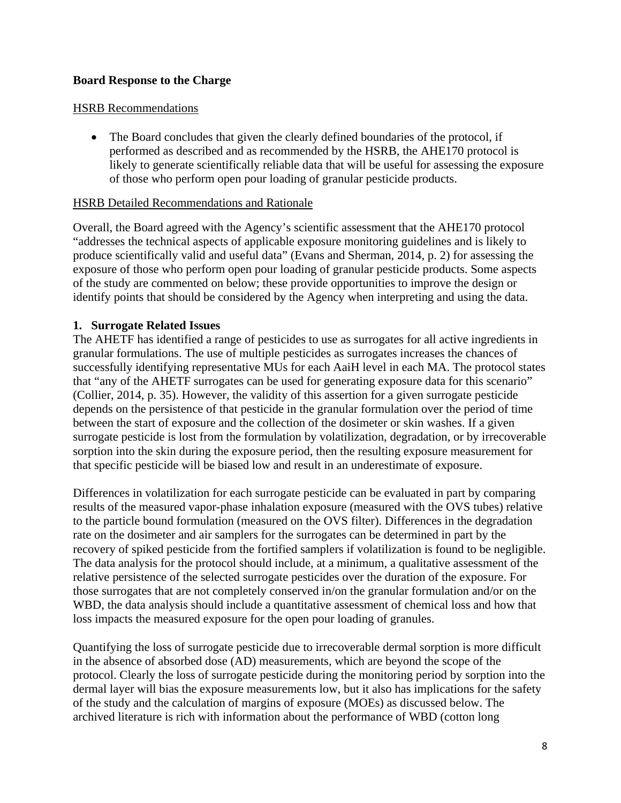## **Board Response to the Charge**

#### HSRB Recommendations

• The Board concludes that given the clearly defined boundaries of the protocol, if performed as described and as recommended by the HSRB, the AHE170 protocol is likely to generate scientifically reliable data that will be useful for assessing the exposure of those who perform open pour loading of granular pesticide products.

#### HSRB Detailed Recommendations and Rationale

Overall, the Board agreed with the Agency's scientific assessment that the AHE170 protocol "addresses the technical aspects of applicable exposure monitoring guidelines and is likely to produce scientifically valid and useful data" (Evans and Sherman, 2014, p. 2) for assessing the exposure of those who perform open pour loading of granular pesticide products. Some aspects of the study are commented on below; these provide opportunities to improve the design or identify points that should be considered by the Agency when interpreting and using the data.

#### **1. Surrogate Related Issues**

The AHETF has identified a range of pesticides to use as surrogates for all active ingredients in granular formulations. The use of multiple pesticides as surrogates increases the chances of successfully identifying representative MUs for each AaiH level in each MA. The protocol states that "any of the AHETF surrogates can be used for generating exposure data for this scenario" (Collier, 2014, p. 35). However, the validity of this assertion for a given surrogate pesticide depends on the persistence of that pesticide in the granular formulation over the period of time between the start of exposure and the collection of the dosimeter or skin washes. If a given surrogate pesticide is lost from the formulation by volatilization, degradation, or by irrecoverable sorption into the skin during the exposure period, then the resulting exposure measurement for that specific pesticide will be biased low and result in an underestimate of exposure.

Differences in volatilization for each surrogate pesticide can be evaluated in part by comparing results of the measured vapor-phase inhalation exposure (measured with the OVS tubes) relative to the particle bound formulation (measured on the OVS filter). Differences in the degradation rate on the dosimeter and air samplers for the surrogates can be determined in part by the recovery of spiked pesticide from the fortified samplers if volatilization is found to be negligible. The data analysis for the protocol should include, at a minimum, a qualitative assessment of the relative persistence of the selected surrogate pesticides over the duration of the exposure. For those surrogates that are not completely conserved in/on the granular formulation and/or on the WBD, the data analysis should include a quantitative assessment of chemical loss and how that loss impacts the measured exposure for the open pour loading of granules.

Quantifying the loss of surrogate pesticide due to irrecoverable dermal sorption is more difficult in the absence of absorbed dose (AD) measurements, which are beyond the scope of the protocol. Clearly the loss of surrogate pesticide during the monitoring period by sorption into the dermal layer will bias the exposure measurements low, but it also has implications for the safety of the study and the calculation of margins of exposure (MOEs) as discussed below. The archived literature is rich with information about the performance of WBD (cotton long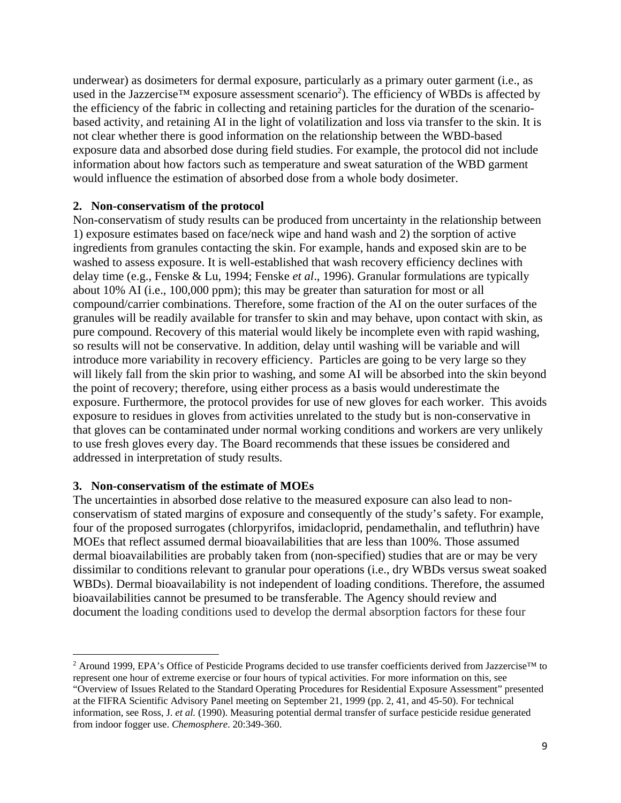underwear) as dosimeters for dermal exposure, particularly as a primary outer garment (i.e., as used in the Jazzercise<sup>TM</sup> exposure assessment scenario<sup>2</sup>). The efficiency of WBDs is affected by the efficiency of the fabric in collecting and retaining particles for the duration of the scenariobased activity, and retaining AI in the light of volatilization and loss via transfer to the skin. It is not clear whether there is good information on the relationship between the WBD-based exposure data and absorbed dose during field studies. For example, the protocol did not include information about how factors such as temperature and sweat saturation of the WBD garment would influence the estimation of absorbed dose from a whole body dosimeter.

### **2. Non-conservatism of the protocol**

Non-conservatism of study results can be produced from uncertainty in the relationship between 1) exposure estimates based on face/neck wipe and hand wash and 2) the sorption of active ingredients from granules contacting the skin. For example, hands and exposed skin are to be washed to assess exposure. It is well-established that wash recovery efficiency declines with delay time (e.g., Fenske & Lu, 1994; Fenske *et al*., 1996). Granular formulations are typically about 10% AI (i.e., 100,000 ppm); this may be greater than saturation for most or all compound/carrier combinations. Therefore, some fraction of the AI on the outer surfaces of the granules will be readily available for transfer to skin and may behave, upon contact with skin, as pure compound. Recovery of this material would likely be incomplete even with rapid washing, so results will not be conservative. In addition, delay until washing will be variable and will introduce more variability in recovery efficiency. Particles are going to be very large so they will likely fall from the skin prior to washing, and some AI will be absorbed into the skin beyond the point of recovery; therefore, using either process as a basis would underestimate the exposure. Furthermore, the protocol provides for use of new gloves for each worker. This avoids exposure to residues in gloves from activities unrelated to the study but is non-conservative in that gloves can be contaminated under normal working conditions and workers are very unlikely to use fresh gloves every day. The Board recommends that these issues be considered and addressed in interpretation of study results.

#### **3. Non-conservatism of the estimate of MOEs**

The uncertainties in absorbed dose relative to the measured exposure can also lead to nonconservatism of stated margins of exposure and consequently of the study's safety. For example, four of the proposed surrogates (chlorpyrifos, imidacloprid, pendamethalin, and tefluthrin) have MOEs that reflect assumed dermal bioavailabilities that are less than 100%. Those assumed dermal bioavailabilities are probably taken from (non-specified) studies that are or may be very dissimilar to conditions relevant to granular pour operations (i.e., dry WBDs versus sweat soaked WBDs). Dermal bioavailability is not independent of loading conditions. Therefore, the assumed bioavailabilities cannot be presumed to be transferable. The Agency should review and document the loading conditions used to develop the dermal absorption factors for these four

 2 Around 1999, EPA's Office of Pesticide Programs decided to use transfer coefficients derived from Jazzercise™ to represent one hour of extreme exercise or four hours of typical activities. For more information on this, see

<sup>&</sup>quot;Overview of Issues Related to the Standard Operating Procedures for Residential Exposure Assessment" presented at the FIFRA Scientific Advisory Panel meeting on September 21, 1999 (pp. 2, 41, and 45-50). For technical information, see Ross, J. *et al.* (1990). Measuring potential dermal transfer of surface pesticide residue generated from indoor fogger use. *Chemosphere*. 20:349-360.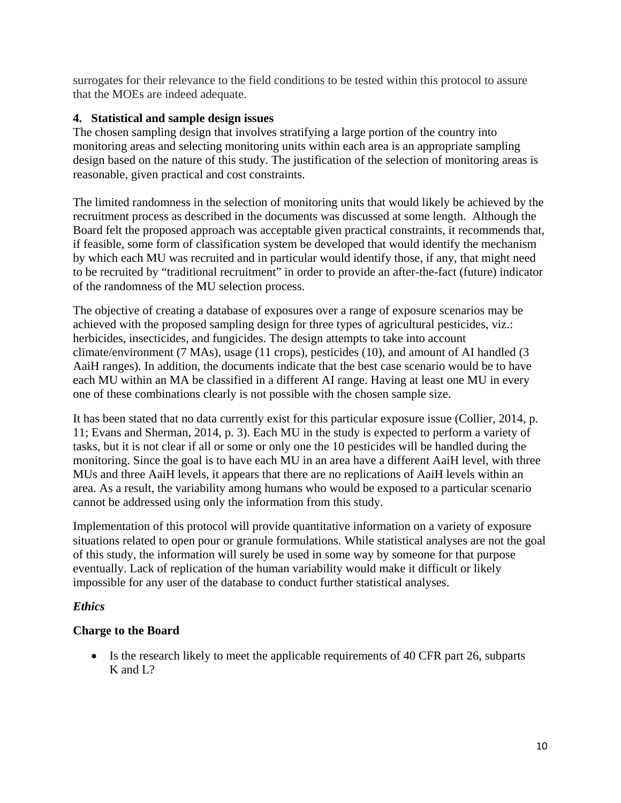surrogates for their relevance to the field conditions to be tested within this protocol to assure that the MOEs are indeed adequate.

### **4. Statistical and sample design issues**

The chosen sampling design that involves stratifying a large portion of the country into monitoring areas and selecting monitoring units within each area is an appropriate sampling design based on the nature of this study. The justification of the selection of monitoring areas is reasonable, given practical and cost constraints.

The limited randomness in the selection of monitoring units that would likely be achieved by the recruitment process as described in the documents was discussed at some length. Although the Board felt the proposed approach was acceptable given practical constraints, it recommends that, if feasible, some form of classification system be developed that would identify the mechanism by which each MU was recruited and in particular would identify those, if any, that might need to be recruited by "traditional recruitment" in order to provide an after-the-fact (future) indicator of the randomness of the MU selection process.

The objective of creating a database of exposures over a range of exposure scenarios may be achieved with the proposed sampling design for three types of agricultural pesticides, viz.: herbicides, insecticides, and fungicides. The design attempts to take into account climate/environment (7 MAs), usage (11 crops), pesticides (10), and amount of AI handled (3 AaiH ranges). In addition, the documents indicate that the best case scenario would be to have each MU within an MA be classified in a different AI range. Having at least one MU in every one of these combinations clearly is not possible with the chosen sample size.

It has been stated that no data currently exist for this particular exposure issue (Collier, 2014, p. 11; Evans and Sherman, 2014, p. 3). Each MU in the study is expected to perform a variety of tasks, but it is not clear if all or some or only one the 10 pesticides will be handled during the monitoring. Since the goal is to have each MU in an area have a different AaiH level, with three MUs and three AaiH levels, it appears that there are no replications of AaiH levels within an area. As a result, the variability among humans who would be exposed to a particular scenario cannot be addressed using only the information from this study.

Implementation of this protocol will provide quantitative information on a variety of exposure situations related to open pour or granule formulations. While statistical analyses are not the goal of this study, the information will surely be used in some way by someone for that purpose eventually. Lack of replication of the human variability would make it difficult or likely impossible for any user of the database to conduct further statistical analyses.

## *Ethics*

## **Charge to the Board**

• Is the research likely to meet the applicable requirements of 40 CFR part 26, subparts K and L?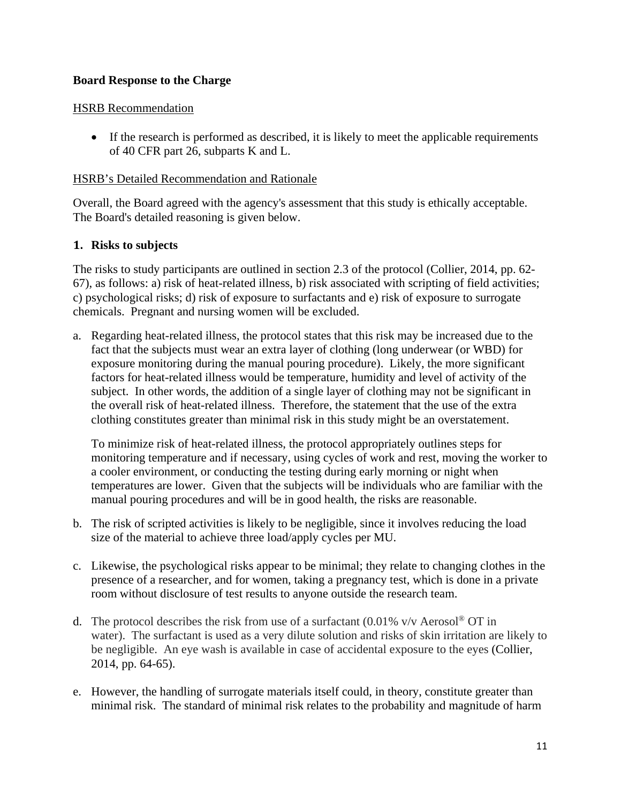# **Board Response to the Charge**

### HSRB Recommendation

 If the research is performed as described, it is likely to meet the applicable requirements of 40 CFR part 26, subparts K and L.

### HSRB's Detailed Recommendation and Rationale

Overall, the Board agreed with the agency's assessment that this study is ethically acceptable. The Board's detailed reasoning is given below.

### **1. Risks to subjects**

The risks to study participants are outlined in section 2.3 of the protocol (Collier, 2014, pp. 62 67), as follows: a) risk of heat-related illness, b) risk associated with scripting of field activities; c) psychological risks; d) risk of exposure to surfactants and e) risk of exposure to surrogate chemicals. Pregnant and nursing women will be excluded.

a. Regarding heat-related illness, the protocol states that this risk may be increased due to the fact that the subjects must wear an extra layer of clothing (long underwear (or WBD) for exposure monitoring during the manual pouring procedure). Likely, the more significant factors for heat-related illness would be temperature, humidity and level of activity of the subject. In other words, the addition of a single layer of clothing may not be significant in the overall risk of heat-related illness. Therefore, the statement that the use of the extra clothing constitutes greater than minimal risk in this study might be an overstatement.

To minimize risk of heat-related illness, the protocol appropriately outlines steps for monitoring temperature and if necessary, using cycles of work and rest, moving the worker to a cooler environment, or conducting the testing during early morning or night when temperatures are lower. Given that the subjects will be individuals who are familiar with the manual pouring procedures and will be in good health, the risks are reasonable.

- b. The risk of scripted activities is likely to be negligible, since it involves reducing the load size of the material to achieve three load/apply cycles per MU.
- c. Likewise, the psychological risks appear to be minimal; they relate to changing clothes in the presence of a researcher, and for women, taking a pregnancy test, which is done in a private room without disclosure of test results to anyone outside the research team.
- d. The protocol describes the risk from use of a surfactant (0.01% v/v Aerosol<sup>®</sup> OT in water). The surfactant is used as a very dilute solution and risks of skin irritation are likely to be negligible. An eye wash is available in case of accidental exposure to the eyes (Collier, 2014, pp. 64-65).
- e. However, the handling of surrogate materials itself could, in theory, constitute greater than minimal risk. The standard of minimal risk relates to the probability and magnitude of harm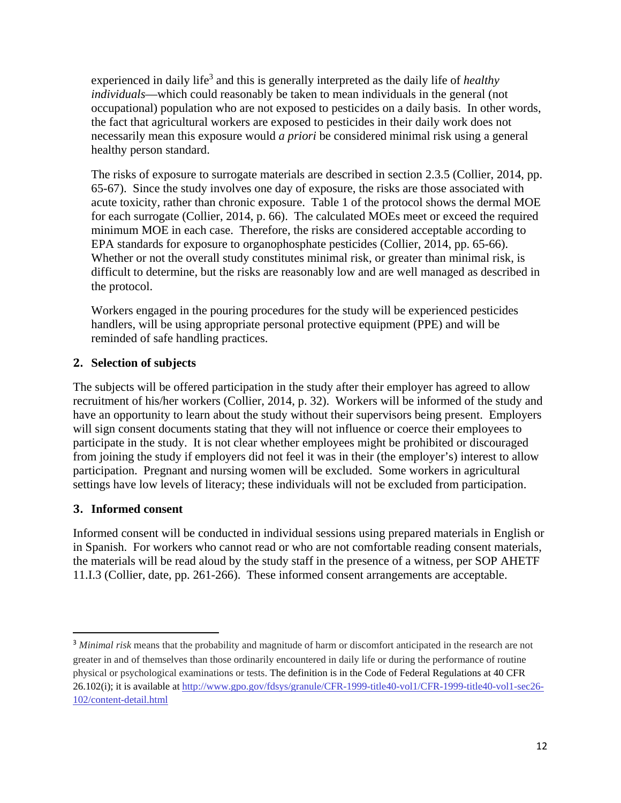experienced in daily life<sup>3</sup> and this is generally interpreted as the daily life of *healthy individuals*—which could reasonably be taken to mean individuals in the general (not occupational) population who are not exposed to pesticides on a daily basis. In other words, the fact that agricultural workers are exposed to pesticides in their daily work does not necessarily mean this exposure would *a priori* be considered minimal risk using a general healthy person standard.

The risks of exposure to surrogate materials are described in section 2.3.5 (Collier, 2014, pp. 65-67). Since the study involves one day of exposure, the risks are those associated with acute toxicity, rather than chronic exposure. Table 1 of the protocol shows the dermal MOE for each surrogate (Collier, 2014, p. 66). The calculated MOEs meet or exceed the required minimum MOE in each case. Therefore, the risks are considered acceptable according to EPA standards for exposure to organophosphate pesticides (Collier, 2014, pp. 65-66). Whether or not the overall study constitutes minimal risk, or greater than minimal risk, is difficult to determine, but the risks are reasonably low and are well managed as described in the protocol.

Workers engaged in the pouring procedures for the study will be experienced pesticides handlers, will be using appropriate personal protective equipment (PPE) and will be reminded of safe handling practices.

# **2. Selection of subjects**

The subjects will be offered participation in the study after their employer has agreed to allow recruitment of his/her workers (Collier, 2014, p. 32). Workers will be informed of the study and have an opportunity to learn about the study without their supervisors being present. Employers will sign consent documents stating that they will not influence or coerce their employees to participate in the study. It is not clear whether employees might be prohibited or discouraged from joining the study if employers did not feel it was in their (the employer's) interest to allow participation. Pregnant and nursing women will be excluded. Some workers in agricultural settings have low levels of literacy; these individuals will not be excluded from participation.

## **3. Informed consent**

Informed consent will be conducted in individual sessions using prepared materials in English or in Spanish. For workers who cannot read or who are not comfortable reading consent materials, the materials will be read aloud by the study staff in the presence of a witness, per SOP AHETF 11.I.3 (Collier, date, pp. 261-266). These informed consent arrangements are acceptable.

<sup>&</sup>lt;sup>3</sup> Minimal risk means that the probability and magnitude of harm or discomfort anticipated in the research are not greater in and of themselves than those ordinarily encountered in daily life or during the performance of routine physical or psychological examinations or tests. The definition is in the Code of Federal Regulations at 40 CFR 26.102(i); it is available at http://www.gpo.gov/fdsys/granule/CFR-1999-title40-vol1/CFR-1999-title40-vol1-sec26-102/content-detail.html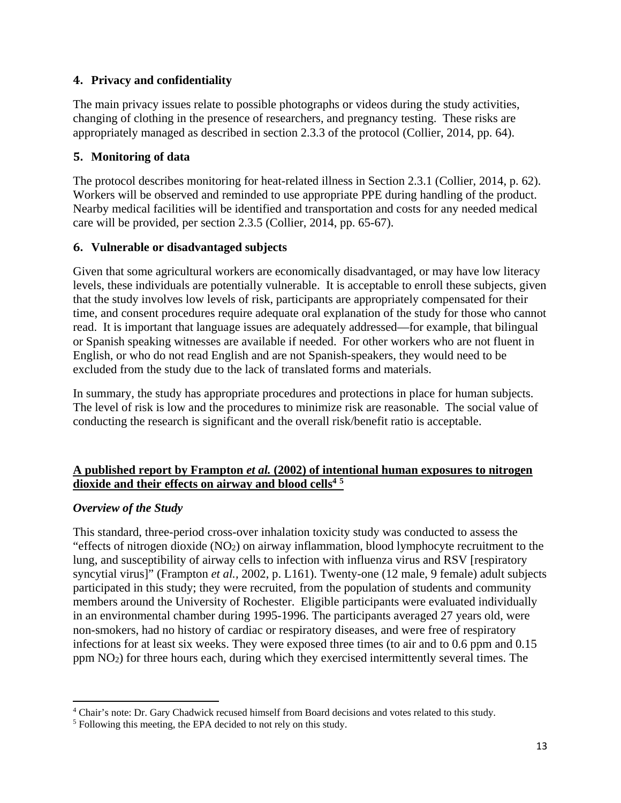# **4. Privacy and confidentiality**

The main privacy issues relate to possible photographs or videos during the study activities, changing of clothing in the presence of researchers, and pregnancy testing. These risks are appropriately managed as described in section 2.3.3 of the protocol (Collier, 2014, pp. 64).

# **5. Monitoring of data**

The protocol describes monitoring for heat-related illness in Section 2.3.1 (Collier, 2014, p. 62). Workers will be observed and reminded to use appropriate PPE during handling of the product. Nearby medical facilities will be identified and transportation and costs for any needed medical care will be provided, per section 2.3.5 (Collier, 2014, pp. 65-67).

# **6. Vulnerable or disadvantaged subjects**

Given that some agricultural workers are economically disadvantaged, or may have low literacy levels, these individuals are potentially vulnerable. It is acceptable to enroll these subjects, given that the study involves low levels of risk, participants are appropriately compensated for their time, and consent procedures require adequate oral explanation of the study for those who cannot read. It is important that language issues are adequately addressed—for example, that bilingual or Spanish speaking witnesses are available if needed. For other workers who are not fluent in English, or who do not read English and are not Spanish-speakers, they would need to be excluded from the study due to the lack of translated forms and materials.

In summary, the study has appropriate procedures and protections in place for human subjects. The level of risk is low and the procedures to minimize risk are reasonable. The social value of conducting the research is significant and the overall risk/benefit ratio is acceptable.

# **dioxide and their effects on airway and blood cells4 5 A published report by Frampton** *et al.* **(2002) of intentional human exposures to nitrogen**

## *Overview of the Study*

This standard, three-period cross-over inhalation toxicity study was conducted to assess the "effects of nitrogen dioxide (NO2) on airway inflammation, blood lymphocyte recruitment to the lung, and susceptibility of airway cells to infection with influenza virus and RSV [respiratory syncytial virus]" (Frampton *et al.,* 2002, p. L161). Twenty-one (12 male, 9 female) adult subjects participated in this study; they were recruited, from the population of students and community members around the University of Rochester. Eligible participants were evaluated individually in an environmental chamber during 1995-1996. The participants averaged 27 years old, were non-smokers, had no history of cardiac or respiratory diseases, and were free of respiratory infections for at least six weeks. They were exposed three times (to air and to 0.6 ppm and 0.15 ppm NO2) for three hours each, during which they exercised intermittently several times. The

<sup>&</sup>lt;sup>4</sup> Chair's note: Dr. Gary Chadwick recused himself from Board decisions and votes related to this study.<br><sup>5</sup> Following this meeting, the EPA decided to not rely on this study.

 Following this meeting, the EPA decided to not rely on this study.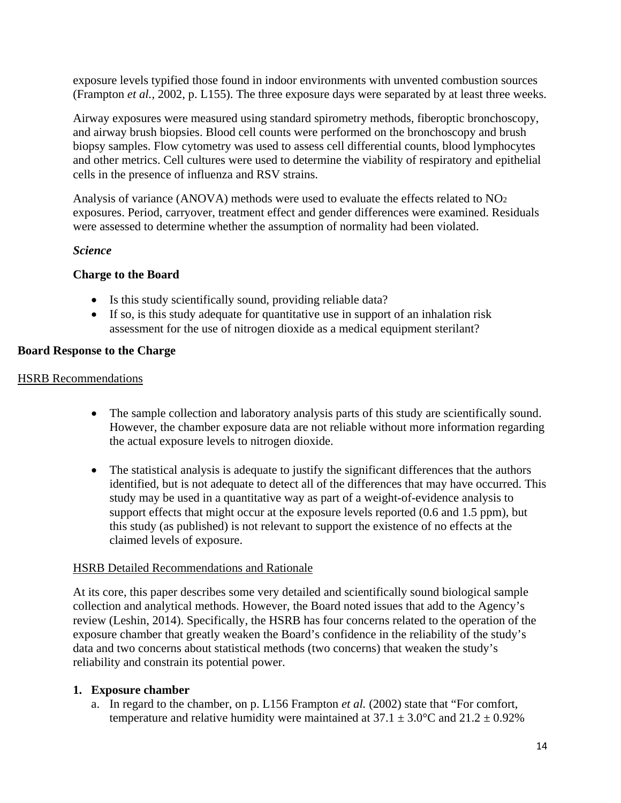exposure levels typified those found in indoor environments with unvented combustion sources (Frampton *et al.,* 2002, p. L155). The three exposure days were separated by at least three weeks.

Airway exposures were measured using standard spirometry methods, fiberoptic bronchoscopy, and airway brush biopsies. Blood cell counts were performed on the bronchoscopy and brush biopsy samples. Flow cytometry was used to assess cell differential counts, blood lymphocytes and other metrics. Cell cultures were used to determine the viability of respiratory and epithelial cells in the presence of influenza and RSV strains.

Analysis of variance (ANOVA) methods were used to evaluate the effects related to NO2 exposures. Period, carryover, treatment effect and gender differences were examined. Residuals were assessed to determine whether the assumption of normality had been violated.

### *Science*

### **Charge to the Board**

- Is this study scientifically sound, providing reliable data?
- If so, is this study adequate for quantitative use in support of an inhalation risk assessment for the use of nitrogen dioxide as a medical equipment sterilant?

## **Board Response to the Charge**

#### HSRB Recommendations

- The sample collection and laboratory analysis parts of this study are scientifically sound. However, the chamber exposure data are not reliable without more information regarding the actual exposure levels to nitrogen dioxide.
- The statistical analysis is adequate to justify the significant differences that the authors identified, but is not adequate to detect all of the differences that may have occurred. This study may be used in a quantitative way as part of a weight-of-evidence analysis to support effects that might occur at the exposure levels reported (0.6 and 1.5 ppm), but this study (as published) is not relevant to support the existence of no effects at the claimed levels of exposure.

#### HSRB Detailed Recommendations and Rationale

At its core, this paper describes some very detailed and scientifically sound biological sample collection and analytical methods. However, the Board noted issues that add to the Agency's review (Leshin, 2014). Specifically, the HSRB has four concerns related to the operation of the exposure chamber that greatly weaken the Board's confidence in the reliability of the study's data and two concerns about statistical methods (two concerns) that weaken the study's reliability and constrain its potential power.

#### **1. Exposure chamber**

a. In regard to the chamber, on p. L156 Frampton *et al.* (2002) state that "For comfort, temperature and relative humidity were maintained at  $37.1 \pm 3.0^{\circ}$ C and  $21.2 \pm 0.92\%$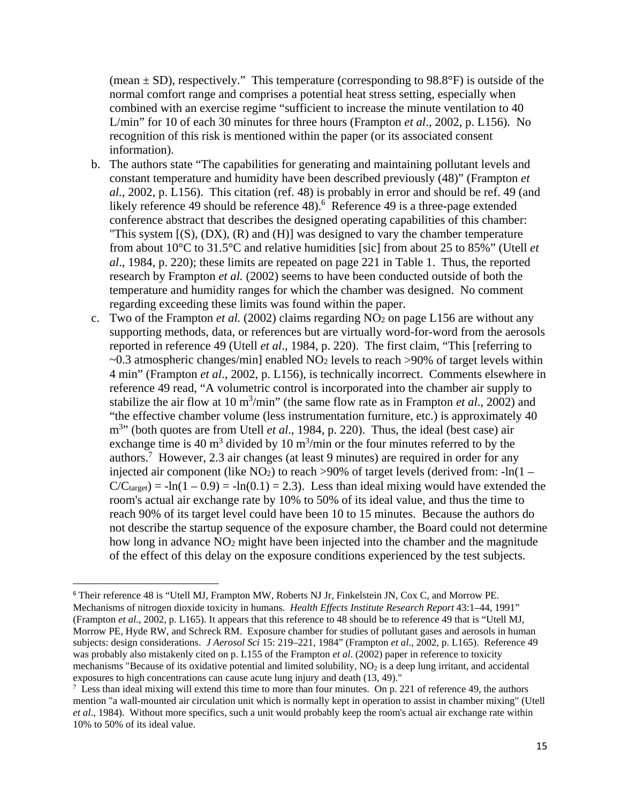(mean  $\pm$  SD), respectively." This temperature (corresponding to 98.8°F) is outside of the normal comfort range and comprises a potential heat stress setting, especially when combined with an exercise regime "sufficient to increase the minute ventilation to 40 L/min" for 10 of each 30 minutes for three hours (Frampton *et al*., 2002, p. L156). No recognition of this risk is mentioned within the paper (or its associated consent information).

- b. The authors state "The capabilities for generating and maintaining pollutant levels and constant temperature and humidity have been described previously (48)" (Frampton *et al.*, 2002, p. L156). This citation (ref. 48) is probably in error and should be ref. 49 (and likely reference 49 should be reference 48).<sup>6</sup> Reference 49 is a three-page extended conference abstract that describes the designed operating capabilities of this chamber: "This system  $[(S), (DX), (R)$  and  $(H)]$  was designed to vary the chamber temperature from about 10°C to 31.5°C and relative humidities [sic] from about 25 to 85%" (Utell *et al*., 1984, p. 220); these limits are repeated on page 221 in Table 1. Thus, the reported research by Frampton *et al.* (2002) seems to have been conducted outside of both the temperature and humidity ranges for which the chamber was designed. No comment regarding exceeding these limits was found within the paper.
- c. Two of the Frampton *et al.* (2002) claims regarding  $NO<sub>2</sub>$  on page L156 are without any supporting methods, data, or references but are virtually word-for-word from the aerosols reported in reference 49 (Utell *et al*., 1984, p. 220). The first claim, "This [referring to  $\sim$ 0.3 atmospheric changes/min] enabled NO<sub>2</sub> levels to reach >90% of target levels within 4 min" (Frampton *et al*., 2002, p. L156), is technically incorrect. Comments elsewhere in reference 49 read, "A volumetric control is incorporated into the chamber air supply to stabilize the air flow at 10 m<sup>3</sup>/min" (the same flow rate as in Frampton *et al.*, 2002) and "the effective chamber volume (less instrumentation furniture, etc.) is approximately 40 m<sup>3</sup>" (both quotes are from Utell *et al.*, 1984, p. 220). Thus, the ideal (best case) air exchange time is 40  $m<sup>3</sup>$  divided by 10  $m<sup>3</sup>/min$  or the four minutes referred to by the authors.7 However, 2.3 air changes (at least 9 minutes) are required in order for any injected air component (like  $NO<sub>2</sub>$ ) to reach >90% of target levels (derived from: -ln(1 –  $C/C<sub>target</sub>$  = -ln(1 – 0.9) = -ln(0.1) = 2.3). Less than ideal mixing would have extended the room's actual air exchange rate by 10% to 50% of its ideal value, and thus the time to reach 90% of its target level could have been 10 to 15 minutes. Because the authors do not describe the startup sequence of the exposure chamber, the Board could not determine how long in advance NO2 might have been injected into the chamber and the magnitude of the effect of this delay on the exposure conditions experienced by the test subjects.

 was probably also mistakenly cited on p. L155 of the Frampton *et al*. (2002) paper in reference to toxicity <sup>6</sup> Their reference 48 is "Utell MJ, Frampton MW, Roberts NJ Jr, Finkelstein JN, Cox C, and Morrow PE. Mechanisms of nitrogen dioxide toxicity in humans. *Health Effects Institute Research Report* 43:1–44, 1991" (Frampton *et al*., 2002, p. L165). It appears that this reference to 48 should be to reference 49 that is "Utell MJ, Morrow PE, Hyde RW, and Schreck RM. Exposure chamber for studies of pollutant gases and aerosols in human subjects: design considerations. *J Aerosol Sci* 15: 219–221, 1984" (Frampton *et al*., 2002, p. L165). Reference 49 mechanisms "Because of its oxidative potential and limited solubility,  $NO<sub>2</sub>$  is a deep lung irritant, and accidental exposures to high concentrations can cause acute lung injury and death (13, 49)."

 mention "a wall-mounted air circulation unit which is normally kept in operation to assist in chamber mixing" (Utell  $^7$  Less than ideal mixing will extend this time to more than four minutes. On p. 221 of reference 49, the authors *et al*., 1984). Without more specifics, such a unit would probably keep the room's actual air exchange rate within 10% to 50% of its ideal value.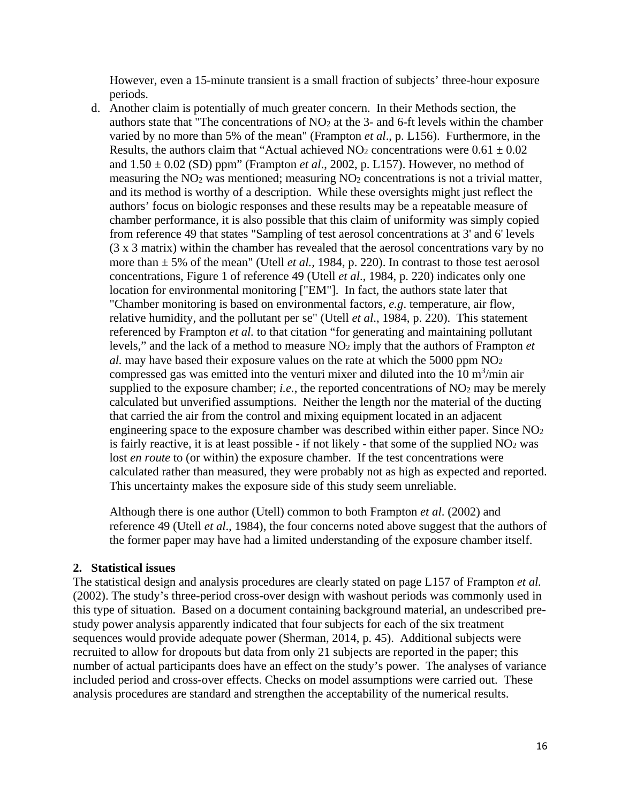However, even a 15-minute transient is a small fraction of subjects' three-hour exposure periods.

d. Another claim is potentially of much greater concern. In their Methods section, the authors state that "The concentrations of NO2 at the 3- and 6-ft levels within the chamber varied by no more than 5% of the mean" (Frampton *et al*., p. L156). Furthermore, in the Results, the authors claim that "Actual achieved  $NO<sub>2</sub>$  concentrations were  $0.61 \pm 0.02$ and  $1.50 \pm 0.02$  (SD) ppm" (Frampton *et al.*, 2002, p. L157). However, no method of measuring the  $NO<sub>2</sub>$  was mentioned; measuring  $NO<sub>2</sub>$  concentrations is not a trivial matter, and its method is worthy of a description. While these oversights might just reflect the authors' focus on biologic responses and these results may be a repeatable measure of chamber performance, it is also possible that this claim of uniformity was simply copied from reference 49 that states "Sampling of test aerosol concentrations at 3' and 6' levels (3 x 3 matrix) within the chamber has revealed that the aerosol concentrations vary by no more than  $\pm$  5% of the mean" (Utell *et al.*, 1984, p. 220). In contrast to those test aerosol concentrations, Figure 1 of reference 49 (Utell *et al*., 1984, p. 220) indicates only one location for environmental monitoring ["EM"]. In fact, the authors state later that "Chamber monitoring is based on environmental factors, *e.g*. temperature, air flow, relative humidity, and the pollutant per se" (Utell *et al*., 1984, p. 220). This statement referenced by Frampton *et al.* to that citation "for generating and maintaining pollutant levels," and the lack of a method to measure NO2 imply that the authors of Frampton *et al.* may have based their exposure values on the rate at which the 5000 ppm NO2 compressed gas was emitted into the venturi mixer and diluted into the  $10 \text{ m}^3/\text{min}$  air supplied to the exposure chamber; *i.e.*, the reported concentrations of  $NO<sub>2</sub>$  may be merely calculated but unverified assumptions. Neither the length nor the material of the ducting that carried the air from the control and mixing equipment located in an adjacent engineering space to the exposure chamber was described within either paper. Since  $NO<sub>2</sub>$ is fairly reactive, it is at least possible - if not likely - that some of the supplied  $NO<sub>2</sub>$  was lost *en route* to (or within) the exposure chamber. If the test concentrations were calculated rather than measured, they were probably not as high as expected and reported. This uncertainty makes the exposure side of this study seem unreliable.

Although there is one author (Utell) common to both Frampton *et al*. (2002) and reference 49 (Utell *et al*., 1984), the four concerns noted above suggest that the authors of the former paper may have had a limited understanding of the exposure chamber itself.

#### **2. Statistical issues**

The statistical design and analysis procedures are clearly stated on page L157 of Frampton *et al.*  (2002). The study's three-period cross-over design with washout periods was commonly used in this type of situation. Based on a document containing background material, an undescribed prestudy power analysis apparently indicated that four subjects for each of the six treatment sequences would provide adequate power (Sherman, 2014, p. 45). Additional subjects were recruited to allow for dropouts but data from only 21 subjects are reported in the paper; this number of actual participants does have an effect on the study's power. The analyses of variance included period and cross-over effects. Checks on model assumptions were carried out. These analysis procedures are standard and strengthen the acceptability of the numerical results.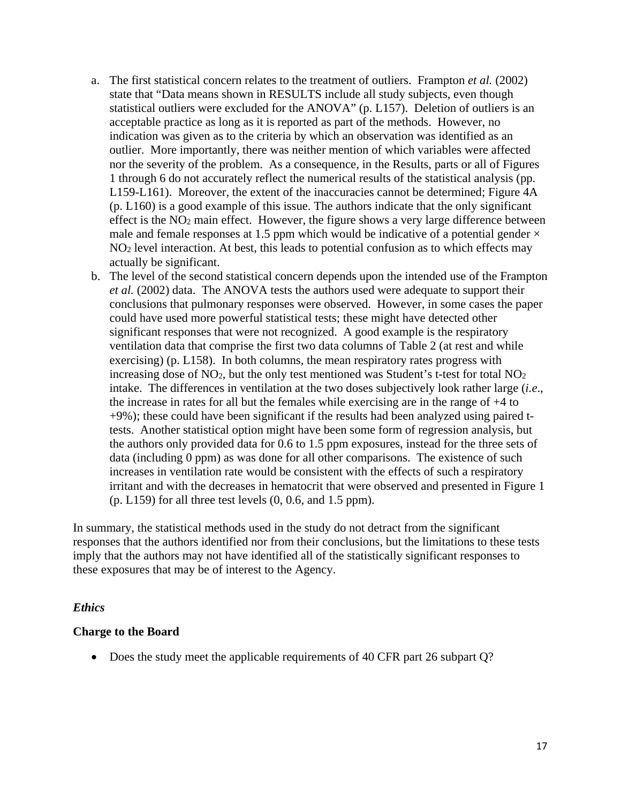- a. The first statistical concern relates to the treatment of outliers. Frampton *et al.* (2002) state that "Data means shown in RESULTS include all study subjects, even though statistical outliers were excluded for the ANOVA" (p. L157). Deletion of outliers is an acceptable practice as long as it is reported as part of the methods. However, no indication was given as to the criteria by which an observation was identified as an outlier. More importantly, there was neither mention of which variables were affected nor the severity of the problem. As a consequence, in the Results, parts or all of Figures 1 through 6 do not accurately reflect the numerical results of the statistical analysis (pp. L159-L161). Moreover, the extent of the inaccuracies cannot be determined; Figure 4A (p. L160) is a good example of this issue. The authors indicate that the only significant effect is the NO2 main effect. However, the figure shows a very large difference between male and female responses at 1.5 ppm which would be indicative of a potential gender  $\times$ NO2 level interaction. At best, this leads to potential confusion as to which effects may actually be significant.
- b. The level of the second statistical concern depends upon the intended use of the Frampton *et al.* (2002) data. The ANOVA tests the authors used were adequate to support their conclusions that pulmonary responses were observed. However, in some cases the paper could have used more powerful statistical tests; these might have detected other significant responses that were not recognized. A good example is the respiratory ventilation data that comprise the first two data columns of Table 2 (at rest and while exercising) (p. L158). In both columns, the mean respiratory rates progress with increasing dose of  $NO_2$ , but the only test mentioned was Student's t-test for total  $NO_2$ intake. The differences in ventilation at the two doses subjectively look rather large (*i.e*., the increase in rates for all but the females while exercising are in the range of +4 to +9%); these could have been significant if the results had been analyzed using paired ttests. Another statistical option might have been some form of regression analysis, but the authors only provided data for 0.6 to 1.5 ppm exposures, instead for the three sets of data (including 0 ppm) as was done for all other comparisons. The existence of such increases in ventilation rate would be consistent with the effects of such a respiratory irritant and with the decreases in hematocrit that were observed and presented in Figure 1  $(p. L159)$  for all three test levels  $(0, 0.6,$  and  $1.5$  ppm).

In summary, the statistical methods used in the study do not detract from the significant responses that the authors identified nor from their conclusions, but the limitations to these tests imply that the authors may not have identified all of the statistically significant responses to these exposures that may be of interest to the Agency.

#### *Ethics*

#### **Charge to the Board**

• Does the study meet the applicable requirements of 40 CFR part 26 subpart Q?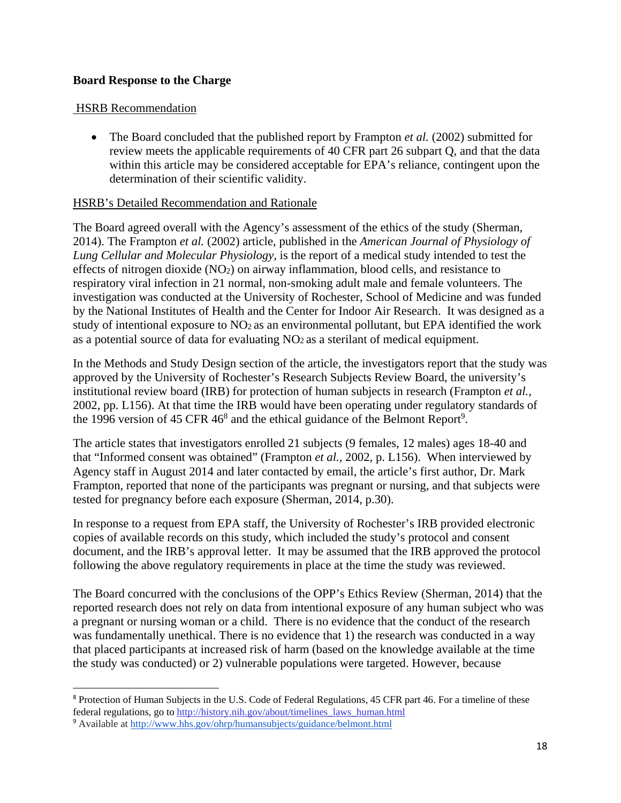### **Board Response to the Charge**

#### HSRB Recommendation

• The Board concluded that the published report by Frampton *et al.* (2002) submitted for review meets the applicable requirements of 40 CFR part 26 subpart Q, and that the data within this article may be considered acceptable for EPA's reliance, contingent upon the determination of their scientific validity.

#### HSRB's Detailed Recommendation and Rationale

The Board agreed overall with the Agency's assessment of the ethics of the study (Sherman, 2014). The Frampton *et al.* (2002) article, published in the *American Journal of Physiology of Lung Cellular and Molecular Physiology,* is the report of a medical study intended to test the effects of nitrogen dioxide (NO2) on airway inflammation, blood cells, and resistance to respiratory viral infection in 21 normal, non-smoking adult male and female volunteers. The investigation was conducted at the University of Rochester, School of Medicine and was funded by the National Institutes of Health and the Center for Indoor Air Research. It was designed as a study of intentional exposure to NO<sub>2</sub> as an environmental pollutant, but EPA identified the work as a potential source of data for evaluating NO2 as a sterilant of medical equipment.

In the Methods and Study Design section of the article, the investigators report that the study was approved by the University of Rochester's Research Subjects Review Board, the university's institutional review board (IRB) for protection of human subjects in research (Frampton *et al.,*  2002, pp. L156). At that time the IRB would have been operating under regulatory standards of the 1996 version of 45 CFR  $46<sup>8</sup>$  and the ethical guidance of the Belmont Report<sup>9</sup>.

The article states that investigators enrolled 21 subjects (9 females, 12 males) ages 18-40 and that "Informed consent was obtained" (Frampton *et al.,* 2002, p. L156). When interviewed by Agency staff in August 2014 and later contacted by email, the article's first author, Dr. Mark Frampton, reported that none of the participants was pregnant or nursing, and that subjects were tested for pregnancy before each exposure (Sherman, 2014, p.30).

In response to a request from EPA staff, the University of Rochester's IRB provided electronic copies of available records on this study, which included the study's protocol and consent document, and the IRB's approval letter. It may be assumed that the IRB approved the protocol following the above regulatory requirements in place at the time the study was reviewed.

The Board concurred with the conclusions of the OPP's Ethics Review (Sherman, 2014) that the reported research does not rely on data from intentional exposure of any human subject who was a pregnant or nursing woman or a child. There is no evidence that the conduct of the research was fundamentally unethical. There is no evidence that 1) the research was conducted in a way that placed participants at increased risk of harm (based on the knowledge available at the time the study was conducted) or 2) vulnerable populations were targeted. However, because

federal regulations, go to http://history.nih.gov/about/timelines\_laws\_human.html <sup>8</sup> Protection of Human Subjects in the U.S. Code of Federal Regulations, 45 CFR part 46. For a timeline of these

<sup>9</sup> Available at http://www.hhs.gov/ohrp/humansubjects/guidance/belmont.html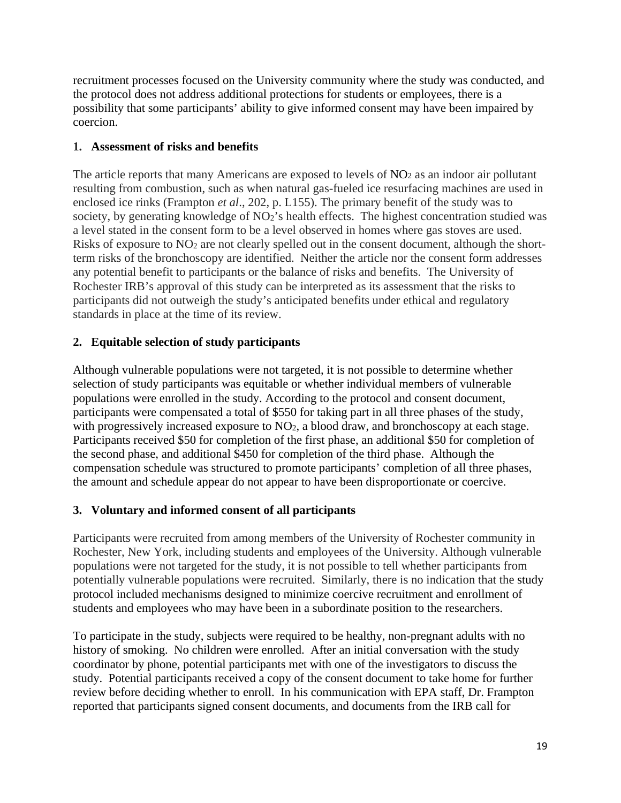recruitment processes focused on the University community where the study was conducted, and the protocol does not address additional protections for students or employees, there is a possibility that some participants' ability to give informed consent may have been impaired by coercion.

## **1. Assessment of risks and benefits**

The article reports that many Americans are exposed to levels of NO<sub>2</sub> as an indoor air pollutant resulting from combustion, such as when natural gas-fueled ice resurfacing machines are used in enclosed ice rinks (Frampton *et al*., 202, p. L155). The primary benefit of the study was to society, by generating knowledge of NO<sub>2</sub>'s health effects. The highest concentration studied was a level stated in the consent form to be a level observed in homes where gas stoves are used. Risks of exposure to NO2 are not clearly spelled out in the consent document, although the shortterm risks of the bronchoscopy are identified. Neither the article nor the consent form addresses any potential benefit to participants or the balance of risks and benefits. The University of Rochester IRB's approval of this study can be interpreted as its assessment that the risks to participants did not outweigh the study's anticipated benefits under ethical and regulatory standards in place at the time of its review.

# **2. Equitable selection of study participants**

Although vulnerable populations were not targeted, it is not possible to determine whether selection of study participants was equitable or whether individual members of vulnerable populations were enrolled in the study. According to the protocol and consent document, participants were compensated a total of \$550 for taking part in all three phases of the study, with progressively increased exposure to NO<sub>2</sub>, a blood draw, and bronchoscopy at each stage. Participants received \$50 for completion of the first phase, an additional \$50 for completion of the second phase, and additional \$450 for completion of the third phase. Although the compensation schedule was structured to promote participants' completion of all three phases, the amount and schedule appear do not appear to have been disproportionate or coercive.

# **3. Voluntary and informed consent of all participants**

Participants were recruited from among members of the University of Rochester community in Rochester, New York, including students and employees of the University. Although vulnerable populations were not targeted for the study, it is not possible to tell whether participants from potentially vulnerable populations were recruited. Similarly, there is no indication that the study protocol included mechanisms designed to minimize coercive recruitment and enrollment of students and employees who may have been in a subordinate position to the researchers.

To participate in the study, subjects were required to be healthy, non-pregnant adults with no history of smoking. No children were enrolled. After an initial conversation with the study coordinator by phone, potential participants met with one of the investigators to discuss the study. Potential participants received a copy of the consent document to take home for further review before deciding whether to enroll. In his communication with EPA staff, Dr. Frampton reported that participants signed consent documents, and documents from the IRB call for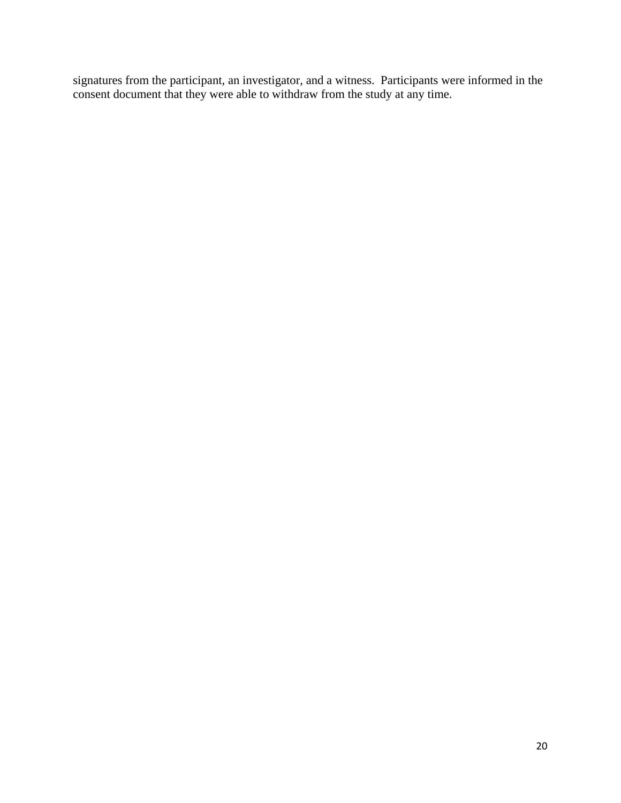signatures from the participant, an investigator, and a witness. Participants were informed in the consent document that they were able to withdraw from the study at any time.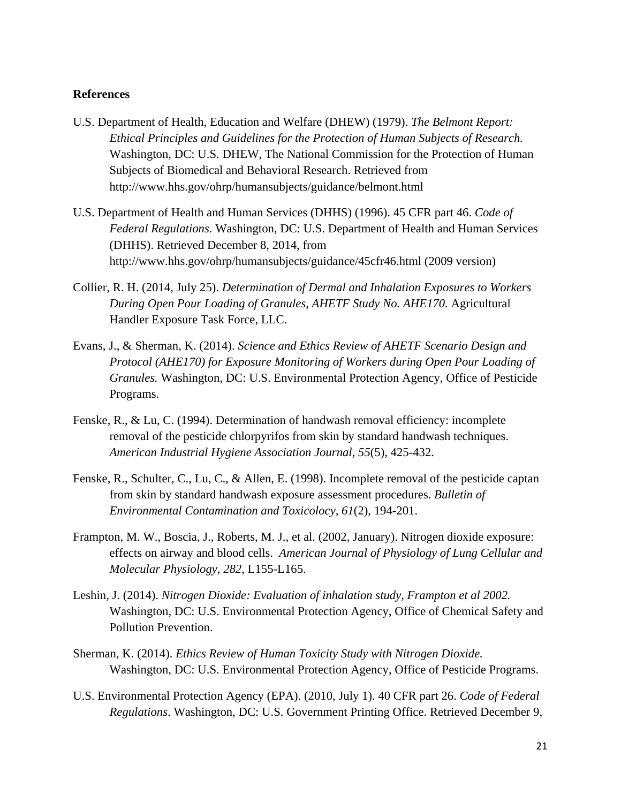#### **References**

- U.S. Department of Health, Education and Welfare (DHEW) (1979). *The Belmont Report: Ethical Principles and Guidelines for the Protection of Human Subjects of Research.*  Washington, DC: U.S. DHEW, The National Commission for the Protection of Human Subjects of Biomedical and Behavioral Research. Retrieved from http://www.hhs.gov/ohrp/humansubjects/guidance/belmont.html
- U.S. Department of Health and Human Services (DHHS) (1996). 45 CFR part 46. *Code of Federal Regulations*. Washington, DC: U.S. Department of Health and Human Services (DHHS). Retrieved December 8, 2014, from http://www.hhs.gov/ohrp/humansubjects/guidance/45cfr46.html (2009 version)
- Collier, R. H. (2014, July 25). *Determination of Dermal and Inhalation Exposures to Workers During Open Pour Loading of Granules, AHETF Study No. AHE170.* Agricultural Handler Exposure Task Force, LLC.
- Evans, J., & Sherman, K. (2014). *Science and Ethics Review of AHETF Scenario Design and Protocol (AHE170) for Exposure Monitoring of Workers during Open Pour Loading of Granules.* Washington, DC: U.S. Environmental Protection Agency, Office of Pesticide Programs.
- Fenske, R., & Lu, C. (1994). Determination of handwash removal efficiency: incomplete removal of the pesticide chlorpyrifos from skin by standard handwash techniques. *American Industrial Hygiene Association Journal, 55*(5), 425-432.
- Fenske, R., Schulter, C., Lu, C., & Allen, E. (1998). Incomplete removal of the pesticide captan from skin by standard handwash exposure assessment procedures. *Bulletin of Environmental Contamination and Toxicolocy, 61*(2), 194-201.
- Frampton, M. W., Boscia, J., Roberts, M. J., et al. (2002, January). Nitrogen dioxide exposure: effects on airway and blood cells. *American Journal of Physiology of Lung Cellular and Molecular Physiology, 282*, L155-L165.
- Leshin, J. (2014). *Nitrogen Dioxide: Evaluation of inhalation study, Frampton et al 2002.*  Washington, DC: U.S. Environmental Protection Agency, Office of Chemical Safety and Pollution Prevention.
- Sherman, K. (2014). *Ethics Review of Human Toxicity Study with Nitrogen Dioxide.*  Washington, DC: U.S. Environmental Protection Agency, Office of Pesticide Programs.
- U.S. Environmental Protection Agency (EPA). (2010, July 1). 40 CFR part 26. *Code of Federal Regulations*. Washington, DC: U.S. Government Printing Office. Retrieved December 9,